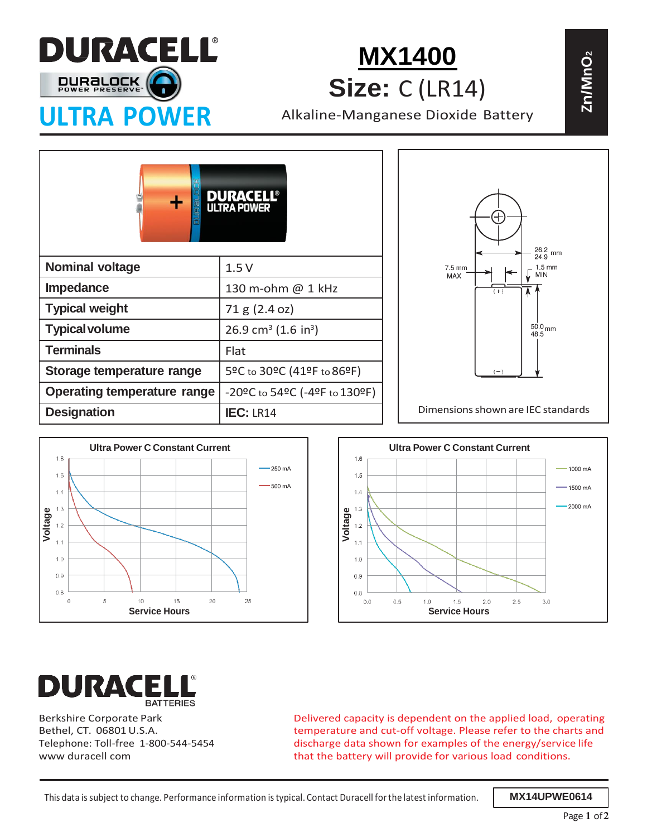

**[MX1400](https://www.batterijenhuis.nl/duracell-ultra-power-alkaline-c-2x) Size:** C (LR14)

**Zn/ Mn** $\mathbf{\tilde{O}}$ 

|                                    |                                             | $^{26.2}_{24.9}$ mm                                    |
|------------------------------------|---------------------------------------------|--------------------------------------------------------|
| <b>Nominal voltage</b>             | 1.5V                                        | 7.5 mm<br>$1.5 \text{ mm}$<br><b>MIN</b><br><b>MAX</b> |
| <b>Impedance</b>                   | 130 m-ohm @ 1 kHz                           | $(+)$                                                  |
| <b>Typical weight</b>              | 71 g (2.4 oz)                               |                                                        |
| <b>Typical volume</b>              | 26.9 cm <sup>3</sup> (1.6 in <sup>3</sup> ) | $50.0$ <sub>mm</sub><br>48.5                           |
| <b>Terminals</b>                   | Flat                                        |                                                        |
| Storage temperature range          | 5ºC to 30ºC (41ºF to 86ºF)                  |                                                        |
| <b>Operating temperature range</b> | -20°C to 54°C (-4°F to 130°F)               |                                                        |
| <b>Designation</b>                 | <b>IEC: LR14</b>                            | Dimensions shown are IEC standards                     |







Berkshire Corporate Park Bethel, CT. 06801 U.S.A. Telephone: Toll-free 1-800-544-5454 www duracell com

Delivered capacity is dependent on the applied load, operating temperature and cut-off voltage. Please refer to the charts and discharge data shown for examples of the energy/service life that the battery will provide for various load conditions.